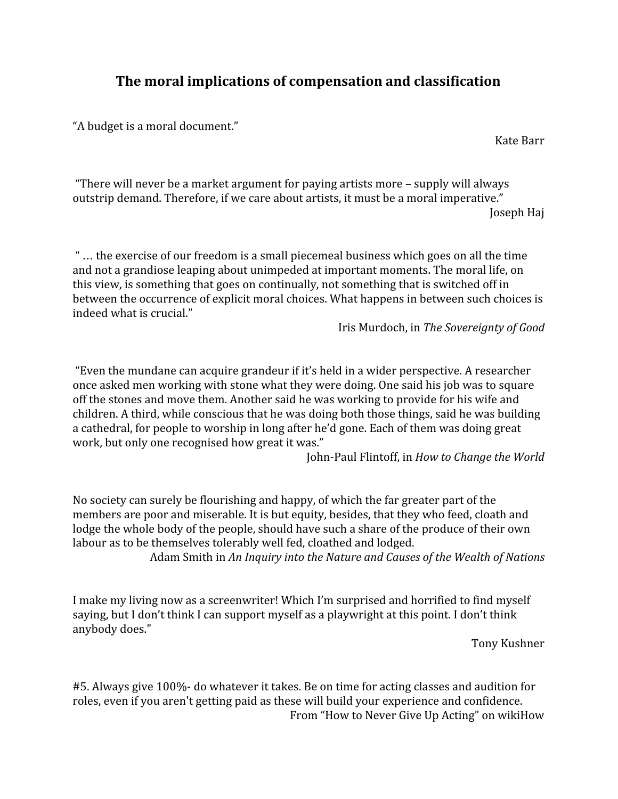## **The moral implications of compensation and classification**

"A budget is a moral document."

Kate Barr

"There will never be a market argument for paying artists more – supply will always outstrip demand. Therefore, if we care about artists, it must be a moral imperative." Joseph Haj

" … the exercise of our freedom is a small piecemeal business which goes on all the time and not a grandiose leaping about unimpeded at important moments. The moral life, on this view, is something that goes on continually, not something that is switched off in between the occurrence of explicit moral choices. What happens in between such choices is indeed what is crucial."

Iris Murdoch, in *The Sovereignty of Good*

"Even the mundane can acquire grandeur if it's held in a wider perspective. A researcher once asked men working with stone what they were doing. One said his job was to square off the stones and move them. Another said he was working to provide for his wife and children. A third, while conscious that he was doing both those things, said he was building a cathedral, for people to worship in long after he'd gone. Each of them was doing great work, but only one recognised how great it was."

John-Paul Flintoff, in *How to Change the World*

No society can surely be flourishing and happy, of which the far greater part of the members are poor and miserable. It is but equity, besides, that they who feed, cloath and lodge the whole body of the people, should have such a share of the produce of their own labour as to be themselves tolerably well fed, cloathed and lodged.

Adam Smith in *An Inquiry into the Nature and Causes of the Wealth of Nations*

I make my living now as a screenwriter! Which I'm surprised and horrified to find myself saying, but I don't think I can support myself as a playwright at this point. I don't think anybody does."

Tony Kushner

#5. Always give 100%- do whatever it takes. Be on time for acting classes and audition for roles, even if you aren't getting paid as these will build your experience and confidence. From "How to Never Give Up Acting" on wikiHow